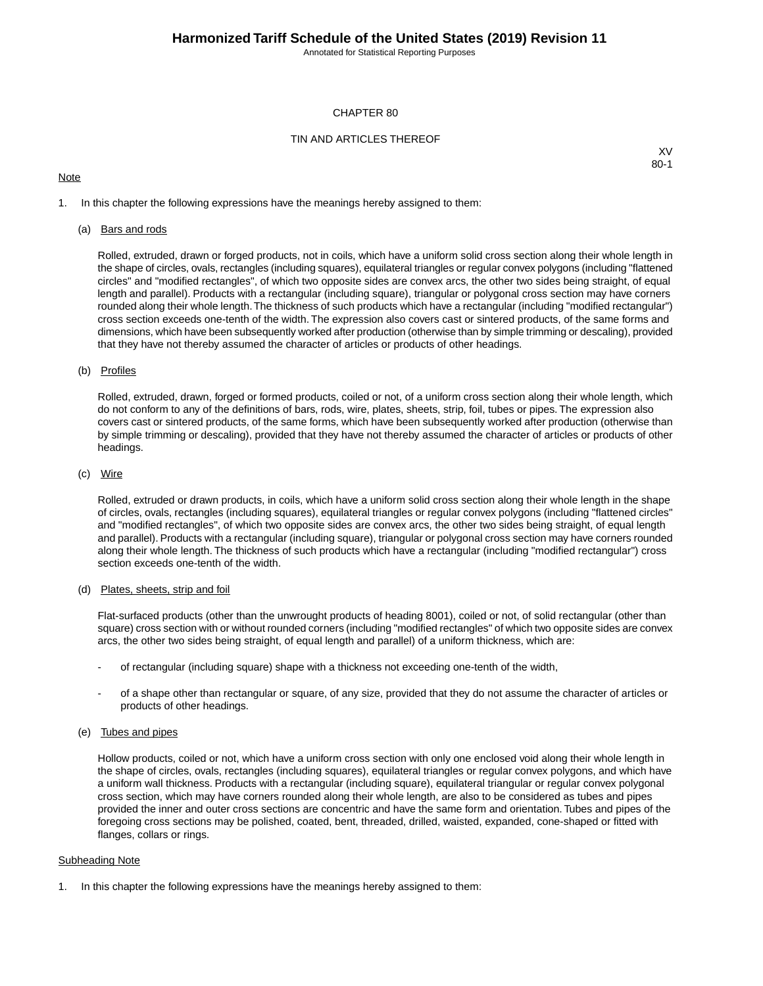Annotated for Statistical Reporting Purposes

## CHAPTER 80

## TIN AND ARTICLES THEREOF

## **Note**

XV 80-1

1. In this chapter the following expressions have the meanings hereby assigned to them:

## (a) Bars and rods

Rolled, extruded, drawn or forged products, not in coils, which have a uniform solid cross section along their whole length in the shape of circles, ovals, rectangles (including squares), equilateral triangles or regular convex polygons (including "flattened circles" and "modified rectangles", of which two opposite sides are convex arcs, the other two sides being straight, of equal length and parallel). Products with a rectangular (including square), triangular or polygonal cross section may have corners rounded along their whole length.The thickness of such products which have a rectangular (including "modified rectangular") cross section exceeds one-tenth of the width. The expression also covers cast or sintered products, of the same forms and dimensions, which have been subsequently worked after production (otherwise than by simple trimming or descaling), provided that they have not thereby assumed the character of articles or products of other headings.

## (b) Profiles

Rolled, extruded, drawn, forged or formed products, coiled or not, of a uniform cross section along their whole length, which do not conform to any of the definitions of bars, rods, wire, plates, sheets, strip, foil, tubes or pipes. The expression also covers cast or sintered products, of the same forms, which have been subsequently worked after production (otherwise than by simple trimming or descaling), provided that they have not thereby assumed the character of articles or products of other headings.

## (c) Wire

Rolled, extruded or drawn products, in coils, which have a uniform solid cross section along their whole length in the shape of circles, ovals, rectangles (including squares), equilateral triangles or regular convex polygons (including "flattened circles" and "modified rectangles", of which two opposite sides are convex arcs, the other two sides being straight, of equal length and parallel). Products with a rectangular (including square), triangular or polygonal cross section may have corners rounded along their whole length. The thickness of such products which have a rectangular (including "modified rectangular") cross section exceeds one-tenth of the width.

## (d) Plates, sheets, strip and foil

Flat-surfaced products (other than the unwrought products of heading 8001), coiled or not, of solid rectangular (other than square) cross section with or without rounded corners (including "modified rectangles" of which two opposite sides are convex arcs, the other two sides being straight, of equal length and parallel) of a uniform thickness, which are:

- of rectangular (including square) shape with a thickness not exceeding one-tenth of the width,
- of a shape other than rectangular or square, of any size, provided that they do not assume the character of articles or products of other headings.

## (e) Tubes and pipes

Hollow products, coiled or not, which have a uniform cross section with only one enclosed void along their whole length in the shape of circles, ovals, rectangles (including squares), equilateral triangles or regular convex polygons, and which have a uniform wall thickness. Products with a rectangular (including square), equilateral triangular or regular convex polygonal cross section, which may have corners rounded along their whole length, are also to be considered as tubes and pipes provided the inner and outer cross sections are concentric and have the same form and orientation. Tubes and pipes of the foregoing cross sections may be polished, coated, bent, threaded, drilled, waisted, expanded, cone-shaped or fitted with flanges, collars or rings.

#### Subheading Note

1. In this chapter the following expressions have the meanings hereby assigned to them: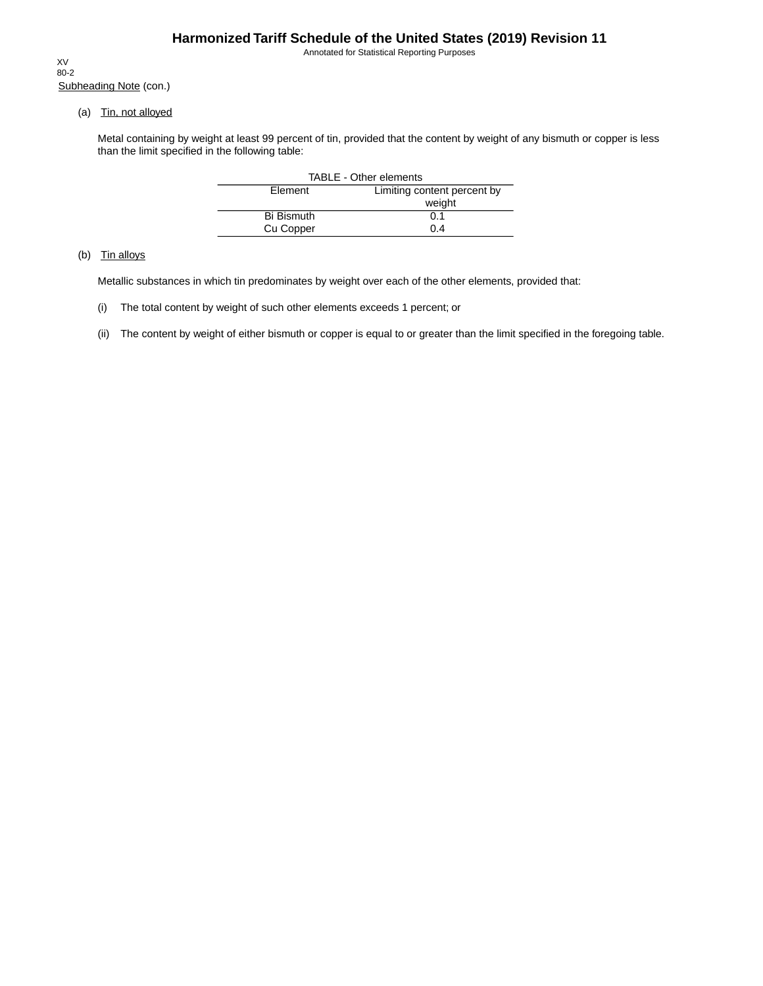Annotated for Statistical Reporting Purposes

Subheading Note (con.) XV 80-2

(a) Tin, not alloyed

Metal containing by weight at least 99 percent of tin, provided that the content by weight of any bismuth or copper is less than the limit specified in the following table:

| <b>TABLE - Other elements</b> |                             |  |  |  |  |
|-------------------------------|-----------------------------|--|--|--|--|
| Element                       | Limiting content percent by |  |  |  |  |
|                               | weight                      |  |  |  |  |
| <b>Bi Bismuth</b>             | 0.1                         |  |  |  |  |
| Cu Copper                     | 0.4                         |  |  |  |  |

# (b) Tin alloys

Metallic substances in which tin predominates by weight over each of the other elements, provided that:

- (i) The total content by weight of such other elements exceeds 1 percent; or
- (ii) The content by weight of either bismuth or copper is equal to or greater than the limit specified in the foregoing table.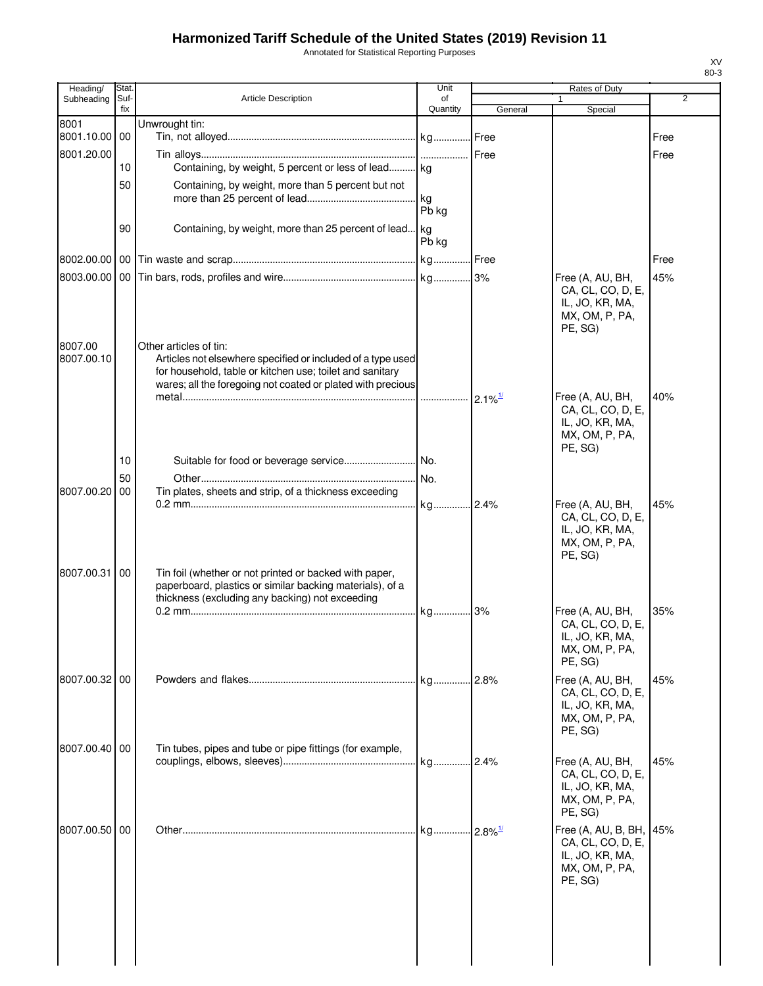# **Harmonized Tariff Schedule of the United States (2019) Revision 11**

Annotated for Statistical Reporting Purposes

| Heading/              | Stat.       |                                                                                                                                                                       | Unit           | Rates of Duty          |                                                                                          |                |
|-----------------------|-------------|-----------------------------------------------------------------------------------------------------------------------------------------------------------------------|----------------|------------------------|------------------------------------------------------------------------------------------|----------------|
| Subheading            | Suf-<br>fix | <b>Article Description</b>                                                                                                                                            | of<br>Quantity | General                | Special                                                                                  | $\overline{2}$ |
| 8001                  |             | Unwrought tin:                                                                                                                                                        |                |                        |                                                                                          |                |
| 8001.10.00 00         |             |                                                                                                                                                                       |                |                        |                                                                                          | Free           |
| 8001.20.00            | 10          | Containing, by weight, 5 percent or less of lead kg                                                                                                                   |                | Free                   |                                                                                          | Free           |
|                       | 50          | Containing, by weight, more than 5 percent but not                                                                                                                    |                |                        |                                                                                          |                |
|                       |             |                                                                                                                                                                       | kg             |                        |                                                                                          |                |
|                       |             |                                                                                                                                                                       | Pb kg          |                        |                                                                                          |                |
|                       | 90          | Containing, by weight, more than 25 percent of lead                                                                                                                   | . kg<br>Pb kg  |                        |                                                                                          |                |
|                       |             |                                                                                                                                                                       | kg Free        |                        |                                                                                          | Free           |
|                       |             |                                                                                                                                                                       |                |                        | Free (A, AU, BH,                                                                         | 45%            |
|                       |             |                                                                                                                                                                       |                |                        | CA, CL, CO, D, E,<br>IL, JO, KR, MA,<br>MX, OM, P, PA,<br>PE, SG)                        |                |
| 8007.00<br>8007.00.10 |             | Other articles of tin:<br>Articles not elsewhere specified or included of a type used<br>for household, table or kitchen use; toilet and sanitary                     |                |                        |                                                                                          |                |
|                       |             | wares; all the foregoing not coated or plated with precious                                                                                                           | .              | $2.1\%$ <sup>1/</sup>  | Free (A, AU, BH,                                                                         | 40%            |
|                       |             |                                                                                                                                                                       |                |                        | CA, CL, CO, D, E,<br>IL, JO, KR, MA,<br>MX, OM, P, PA,<br>PE, SG)                        |                |
|                       | 10          |                                                                                                                                                                       |                |                        |                                                                                          |                |
| 8007.00.20            | 50          |                                                                                                                                                                       | No.            |                        |                                                                                          |                |
|                       | 00          | Tin plates, sheets and strip, of a thickness exceeding                                                                                                                | kg 2.4%        |                        | Free (A, AU, BH,                                                                         | 45%            |
|                       |             |                                                                                                                                                                       |                |                        | CA, CL, CO, D, E,<br>IL, JO, KR, MA,<br>MX, OM, P, PA,<br>PE, SG)                        |                |
| 8007.00.31            | 00          | Tin foil (whether or not printed or backed with paper,<br>paperboard, plastics or similar backing materials), of a<br>thickness (excluding any backing) not exceeding |                |                        |                                                                                          |                |
|                       |             |                                                                                                                                                                       | kg             | 3%                     | Free (A, AU, BH,<br>CA, CL, CO, D, E,<br>IL, JO, KR, MA,<br>MX, OM, P, PA,<br>PE, SG)    | 35%            |
| 8007.00.32 00         |             |                                                                                                                                                                       | . kg           | .2.8%                  | Free (A, AU, BH,                                                                         | 45%            |
|                       |             |                                                                                                                                                                       |                |                        | CA, CL, CO, D, E,<br>IL, JO, KR, MA,<br>MX, OM, P, PA,<br>PE, SG)                        |                |
| 8007.00.40 00         |             | Tin tubes, pipes and tube or pipe fittings (for example,                                                                                                              | kg 2.4%        |                        | Free (A, AU, BH,                                                                         | 45%            |
|                       |             |                                                                                                                                                                       |                |                        | CA, CL, CO, D, E,<br>IL, JO, KR, MA,<br>MX, OM, P, PA,<br>PE, SG)                        |                |
| 8007.00.50 00         |             |                                                                                                                                                                       | . kg           | $-2.8\%$ <sup>1/</sup> | Free (A, AU, B, BH,<br>CA, CL, CO, D, E,<br>IL, JO, KR, MA,<br>MX, OM, P, PA,<br>PE, SG) | 45%            |
|                       |             |                                                                                                                                                                       |                |                        |                                                                                          |                |

XV 80-3